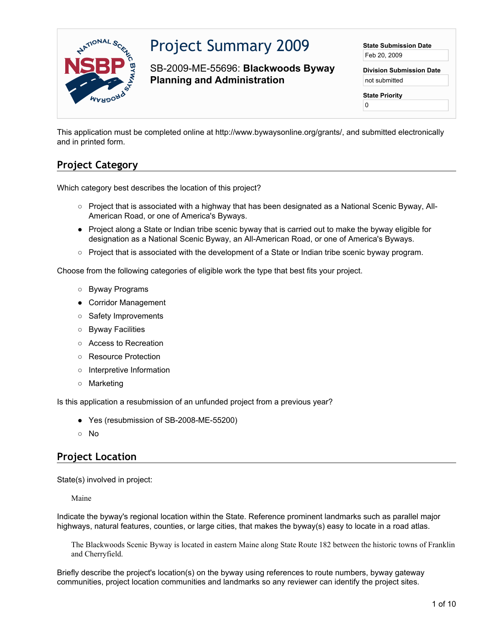

# Project Summary 2009

SB-2009-ME-55696: **Blackwoods Byway Planning and Administration**

**State Submission Date** Feb 20, 2009

**Division Submission Date** not submitted

**State Priority**

0

This application must be completed online at http://www.bywaysonline.org/grants/, and submitted electronically and in printed form.

## **Project Category**

Which category best describes the location of this project?

- Project that is associated with a highway that has been designated as a National Scenic Byway, All-American Road, or one of America's Byways.
- Project along a State or Indian tribe scenic byway that is carried out to make the byway eligible for designation as a National Scenic Byway, an All-American Road, or one of America's Byways.
- Project that is associated with the development of a State or Indian tribe scenic byway program.

Choose from the following categories of eligible work the type that best fits your project.

- Byway Programs
- Corridor Management
- Safety Improvements
- Byway Facilities
- Access to Recreation
- Resource Protection
- Interpretive Information
- Marketing

Is this application a resubmission of an unfunded project from a previous year?

- Yes (resubmission of SB-2008-ME-55200)
- No

## **Project Location**

State(s) involved in project:

Maine

Indicate the byway's regional location within the State. Reference prominent landmarks such as parallel major highways, natural features, counties, or large cities, that makes the byway(s) easy to locate in a road atlas.

The Blackwoods Scenic Byway is located in eastern Maine along State Route 182 between the historic towns of Franklin and Cherryfield.

Briefly describe the project's location(s) on the byway using references to route numbers, byway gateway communities, project location communities and landmarks so any reviewer can identify the project sites.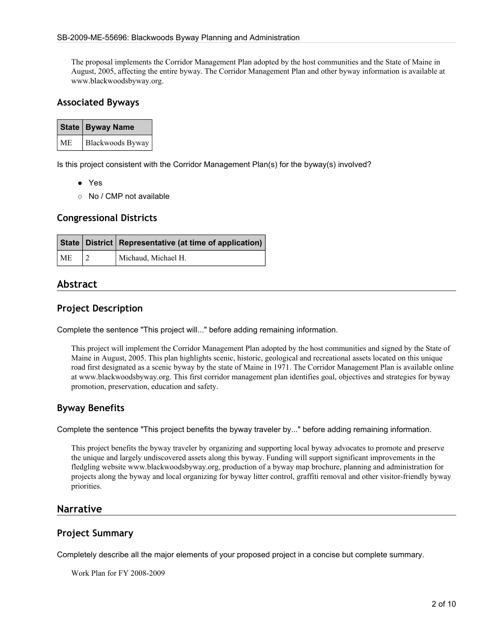The proposal implements the Corridor Management Plan adopted by the host communities and the State of Maine in August, 2005, affecting the entire byway. The Corridor Management Plan and other byway information is available at www.blackwoodsbyway.org.

#### **Associated Byways**

|           | <b>State   Byway Name</b> |  |
|-----------|---------------------------|--|
| <b>ME</b> | Blackwoods Byway          |  |

Is this project consistent with the Corridor Management Plan(s) for the byway(s) involved?

- Yes
- No / CMP not available

#### **Congressional Districts**

|    | State   District   Representative (at time of application) |  |
|----|------------------------------------------------------------|--|
| ME | Michaud, Michael H.                                        |  |

## **Abstract**

#### **Project Description**

Complete the sentence "This project will..." before adding remaining information.

This project will implement the Corridor Management Plan adopted by the host communities and signed by the State of Maine in August, 2005. This plan highlights scenic, historic, geological and recreational assets located on this unique road first designated as a scenic byway by the state of Maine in 1971. The Corridor Management Plan is available online at www.blackwoodsbyway.org. This first corridor management plan identifies goal, objectives and strategies for byway promotion, preservation, education and safety.

## **Byway Benefits**

Complete the sentence "This project benefits the byway traveler by..." before adding remaining information.

This project benefits the byway traveler by organizing and supporting local byway advocates to promote and preserve the unique and largely undiscovered assets along this byway. Funding will support significant improvements in the fledgling website www.blackwoodsbyway.org, production of a byway map brochure, planning and administration for projects along the byway and local organizing for byway litter control, graffiti removal and other visitor-friendly byway priorities.

#### **Narrative**

#### **Project Summary**

Completely describe all the major elements of your proposed project in a concise but complete summary.

Work Plan for FY 2008-2009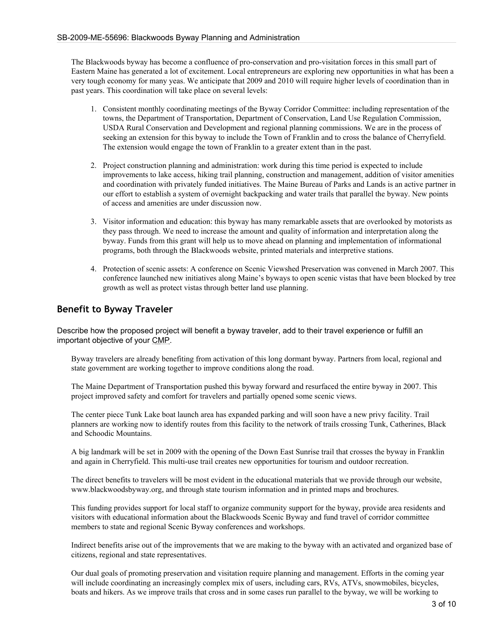The Blackwoods byway has become a confluence of pro-conservation and pro-visitation forces in this small part of Eastern Maine has generated a lot of excitement. Local entrepreneurs are exploring new opportunities in what has been a very tough economy for many yeas. We anticipate that 2009 and 2010 will require higher levels of coordination than in past years. This coordination will take place on several levels:

- 1. Consistent monthly coordinating meetings of the Byway Corridor Committee: including representation of the towns, the Department of Transportation, Department of Conservation, Land Use Regulation Commission, USDA Rural Conservation and Development and regional planning commissions. We are in the process of seeking an extension for this byway to include the Town of Franklin and to cross the balance of Cherryfield. The extension would engage the town of Franklin to a greater extent than in the past.
- 2. Project construction planning and administration: work during this time period is expected to include improvements to lake access, hiking trail planning, construction and management, addition of visitor amenities and coordination with privately funded initiatives. The Maine Bureau of Parks and Lands is an active partner in our effort to establish a system of overnight backpacking and water trails that parallel the byway. New points of access and amenities are under discussion now.
- 3. Visitor information and education: this byway has many remarkable assets that are overlooked by motorists as they pass through. We need to increase the amount and quality of information and interpretation along the byway. Funds from this grant will help us to move ahead on planning and implementation of informational programs, both through the Blackwoods website, printed materials and interpretive stations.
- 4. Protection of scenic assets: A conference on Scenic Viewshed Preservation was convened in March 2007. This conference launched new initiatives along Maine's byways to open scenic vistas that have been blocked by tree growth as well as protect vistas through better land use planning.

## **Benefit to Byway Traveler**

Describe how the proposed project will benefit a byway traveler, add to their travel experience or fulfill an important objective of your CMP.

Byway travelers are already benefiting from activation of this long dormant byway. Partners from local, regional and state government are working together to improve conditions along the road.

The Maine Department of Transportation pushed this byway forward and resurfaced the entire byway in 2007. This project improved safety and comfort for travelers and partially opened some scenic views.

The center piece Tunk Lake boat launch area has expanded parking and will soon have a new privy facility. Trail planners are working now to identify routes from this facility to the network of trails crossing Tunk, Catherines, Black and Schoodic Mountains.

A big landmark will be set in 2009 with the opening of the Down East Sunrise trail that crosses the byway in Franklin and again in Cherryfield. This multi-use trail creates new opportunities for tourism and outdoor recreation.

The direct benefits to travelers will be most evident in the educational materials that we provide through our website, www.blackwoodsbyway.org, and through state tourism information and in printed maps and brochures.

This funding provides support for local staff to organize community support for the byway, provide area residents and visitors with educational information about the Blackwoods Scenic Byway and fund travel of corridor committee members to state and regional Scenic Byway conferences and workshops.

Indirect benefits arise out of the improvements that we are making to the byway with an activated and organized base of citizens, regional and state representatives.

Our dual goals of promoting preservation and visitation require planning and management. Efforts in the coming year will include coordinating an increasingly complex mix of users, including cars, RVs, ATVs, snowmobiles, bicycles, boats and hikers. As we improve trails that cross and in some cases run parallel to the byway, we will be working to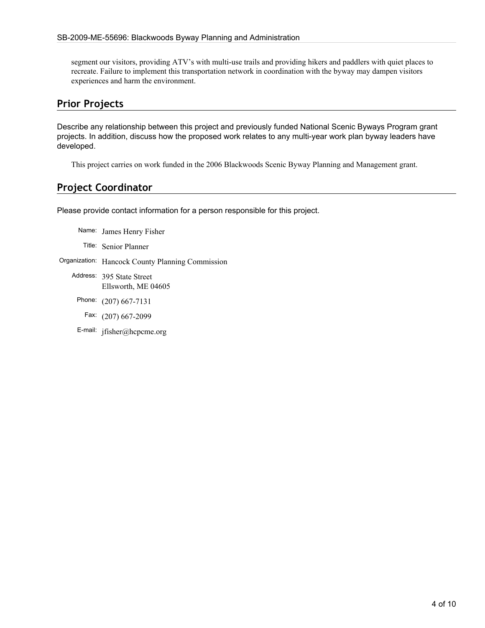segment our visitors, providing ATV's with multi-use trails and providing hikers and paddlers with quiet places to recreate. Failure to implement this transportation network in coordination with the byway may dampen visitors experiences and harm the environment.

### **Prior Projects**

Describe any relationship between this project and previously funded National Scenic Byways Program grant projects. In addition, discuss how the proposed work relates to any multi-year work plan byway leaders have developed.

This project carries on work funded in the 2006 Blackwoods Scenic Byway Planning and Management grant.

## **Project Coordinator**

Please provide contact information for a person responsible for this project.

- Name: James Henry Fisher
- Title: Senior Planner
- Organization: Hancock County Planning Commission
	- Address: 395 State Street Ellsworth, ME 04605
		- Phone: (207) 667-7131
		- Fax: (207) 667-2099
		- E-mail: jfisher@hcpcme.org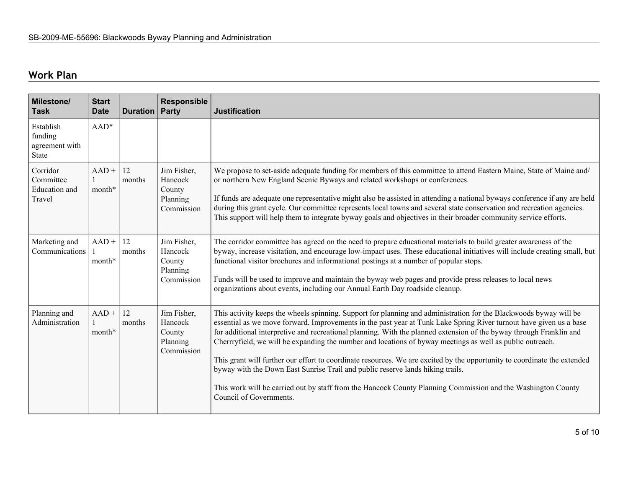## **Work Plan**

| <b>Milestone/</b><br><b>Task</b>                        | <b>Start</b><br><b>Date</b> | Duration     | <b>Responsible</b><br>Party                                | <b>Justification</b>                                                                                                                                                                                                                                                                                                                                                                                                                                                                                                                                                                                                                                                                                                                                                                                                                 |
|---------------------------------------------------------|-----------------------------|--------------|------------------------------------------------------------|--------------------------------------------------------------------------------------------------------------------------------------------------------------------------------------------------------------------------------------------------------------------------------------------------------------------------------------------------------------------------------------------------------------------------------------------------------------------------------------------------------------------------------------------------------------------------------------------------------------------------------------------------------------------------------------------------------------------------------------------------------------------------------------------------------------------------------------|
| Establish<br>funding<br>agreement with<br><b>State</b>  | $AAD*$                      |              |                                                            |                                                                                                                                                                                                                                                                                                                                                                                                                                                                                                                                                                                                                                                                                                                                                                                                                                      |
| Corridor<br>Committee<br><b>Education</b> and<br>Travel | $AAD +$<br>month*           | 12<br>months | Jim Fisher,<br>Hancock<br>County<br>Planning<br>Commission | We propose to set-aside adequate funding for members of this committee to attend Eastern Maine, State of Maine and/<br>or northern New England Scenic Byways and related workshops or conferences.<br>If funds are adequate one representative might also be assisted in attending a national byways conference if any are held<br>during this grant cycle. Our committee represents local towns and several state conservation and recreation agencies.<br>This support will help them to integrate byway goals and objectives in their broader community service efforts.                                                                                                                                                                                                                                                          |
| Marketing and<br>Communications                         | $AAD +$<br>month*           | 12<br>months | Jim Fisher,<br>Hancock<br>County<br>Planning<br>Commission | The corridor committee has agreed on the need to prepare educational materials to build greater awareness of the<br>byway, increase visitation, and encourage low-impact uses. These educational initiatives will include creating small, but<br>functional visitor brochures and informational postings at a number of popular stops.<br>Funds will be used to improve and maintain the byway web pages and provide press releases to local news<br>organizations about events, including our Annual Earth Day roadside cleanup.                                                                                                                                                                                                                                                                                                    |
| Planning and<br>Administration                          | $AAD +$<br>month*           | 12<br>months | Jim Fisher,<br>Hancock<br>County<br>Planning<br>Commission | This activity keeps the wheels spinning. Support for planning and administration for the Blackwoods byway will be<br>essential as we move forward. Improvements in the past year at Tunk Lake Spring River turnout have given us a base<br>for additional interpretive and recreational planning. With the planned extension of the byway through Franklin and<br>Cherrryfield, we will be expanding the number and locations of byway meetings as well as public outreach.<br>This grant will further our effort to coordinate resources. We are excited by the opportunity to coordinate the extended<br>byway with the Down East Sunrise Trail and public reserve lands hiking trails.<br>This work will be carried out by staff from the Hancock County Planning Commission and the Washington County<br>Council of Governments. |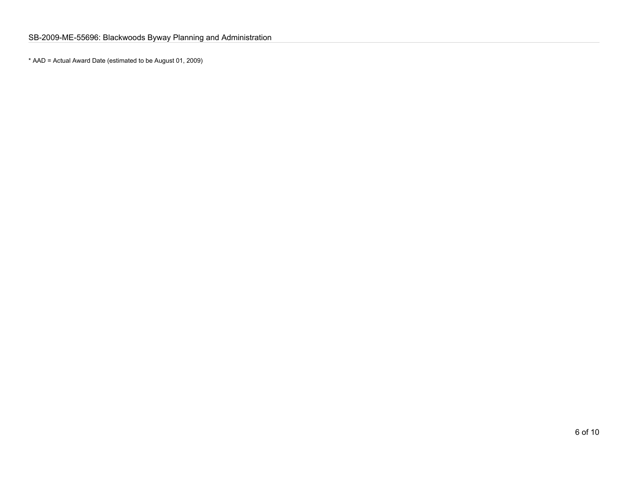\* AAD = Actual Award Date (estimated to be August 01, 2009)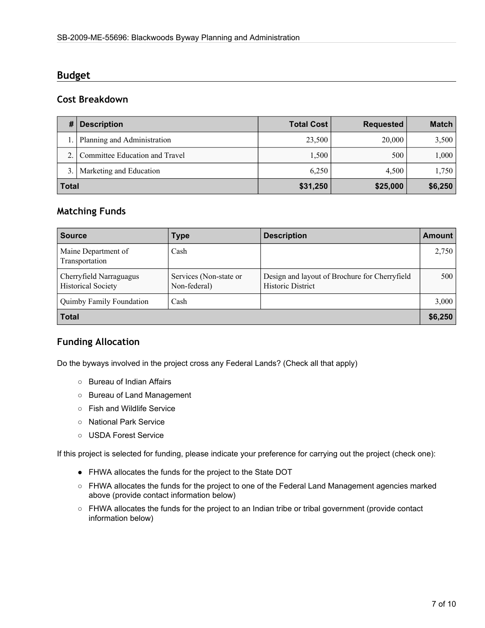## **Budget**

## **Cost Breakdown**

|              | <b>Description</b>             | <b>Total Cost</b> | Requested | <b>Match</b> |
|--------------|--------------------------------|-------------------|-----------|--------------|
|              | Planning and Administration    | 23,500            | 20,000    | 3,500        |
|              | Committee Education and Travel | 1,500             | 500       | 1,000        |
| 3.           | Marketing and Education        | 6.250             | 4.500     | 1,750        |
| <b>Total</b> |                                | \$31,250          | \$25,000  | \$6,250      |

## **Matching Funds**

| <b>Source</b>                                        | <b>Type</b>                            | <b>Description</b>                                                        | <b>Amount</b>    |
|------------------------------------------------------|----------------------------------------|---------------------------------------------------------------------------|------------------|
| Maine Department of<br>Transportation                | Cash                                   |                                                                           | 2,750            |
| Cherryfield Narraguagus<br><b>Historical Society</b> | Services (Non-state or<br>Non-federal) | Design and layout of Brochure for Cherryfield<br><b>Historic District</b> | 500 <sup>1</sup> |
| <b>Quimby Family Foundation</b>                      | Cash                                   |                                                                           | 3,000            |
| <b>Total</b>                                         |                                        |                                                                           | \$6,250          |

## **Funding Allocation**

Do the byways involved in the project cross any Federal Lands? (Check all that apply)

- Bureau of Indian Affairs
- Bureau of Land Management
- Fish and Wildlife Service
- National Park Service
- USDA Forest Service

If this project is selected for funding, please indicate your preference for carrying out the project (check one):

- FHWA allocates the funds for the project to the State DOT
- FHWA allocates the funds for the project to one of the Federal Land Management agencies marked above (provide contact information below)
- FHWA allocates the funds for the project to an Indian tribe or tribal government (provide contact information below)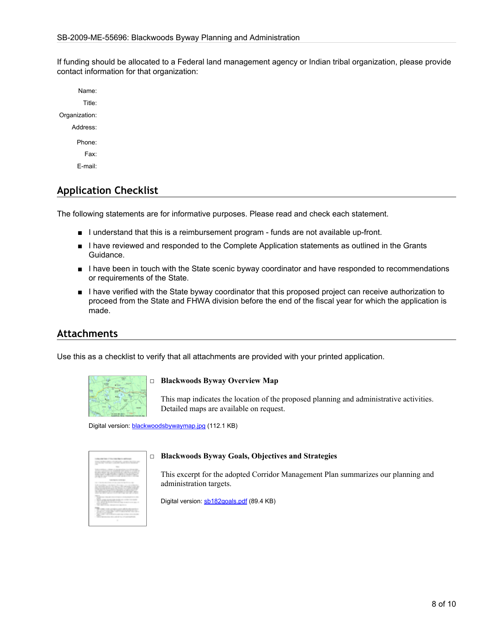If funding should be allocated to a Federal land management agency or Indian tribal organization, please provide contact information for that organization:

Name: Title: Organization: Address: Phone: Fax: E-mail:

## **Application Checklist**

The following statements are for informative purposes. Please read and check each statement.

- I understand that this is a reimbursement program funds are not available up-front.
- I have reviewed and responded to the Complete Application statements as outlined in the Grants Guidance.
- I have been in touch with the State scenic byway coordinator and have responded to recommendations or requirements of the State.
- I have verified with the State byway coordinator that this proposed project can receive authorization to proceed from the State and FHWA division before the end of the fiscal year for which the application is made.

#### **Attachments**

Use this as a checklist to verify that all attachments are provided with your printed application.



#### □ **Blackwoods Byway Overview Map**

This map indicates the location of the proposed planning and administrative activities. Detailed maps are available on request.

Digital version: [blackwoodsbywaymap.jpg](http://www.bywaysonline.org/grants/application/attachments/10806_m0fcq9fnph.jpg) (112.1 KB)



#### □ **Blackwoods Byway Goals, Objectives and Strategies**

This excerpt for the adopted Corridor Management Plan summarizes our planning and administration targets.

Digital version: [sb182goals.pdf](http://www.bywaysonline.org/grants/application/attachments/10807_68rt7o67sr.pdf) (89.4 KB)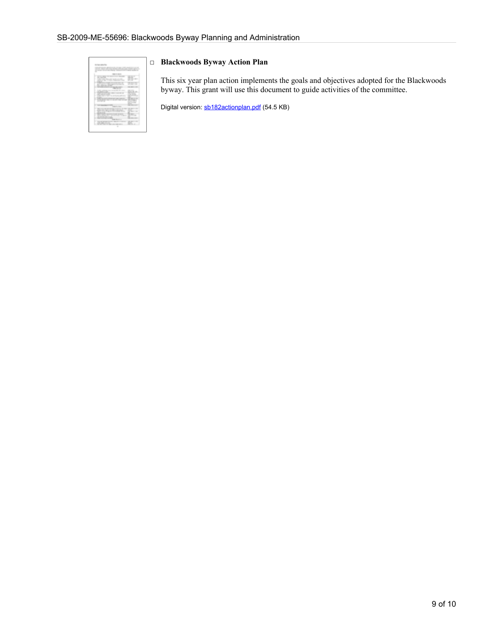| with the first state of the attack                 |                        |
|----------------------------------------------------|------------------------|
|                                                    | <b>STATE OF STREET</b> |
| <b>STATE</b>                                       |                        |
| $\sim$<br>۰                                        | $\rightarrow$          |
| ţ<br>٠                                             | ٠                      |
| and concerns.                                      | ٠                      |
| <br>۰<br>--                                        |                        |
| h.<br>--<br>--                                     | $\rightarrow$          |
| m                                                  | ١<br>٠                 |
| ٠                                                  | ۰                      |
| the company company of<br>--                       | ٠                      |
| the country of the state of the<br><b>THE</b><br>÷ | ٠<br>٠                 |
|                                                    |                        |
| ı<br>۰                                             | ٠                      |
| ---<br>٠                                           | ¢                      |
| ۱                                                  | ٠<br>٠<br>٠            |
| ٠<br><b>All All And A</b>                          | ٠<br>٦<br>٠            |
| ٠<br>٠<br>т<br>٠<br>٠<br>٠                         |                        |
| <b>SERVICE AND</b><br>÷                            |                        |
|                                                    | ٠<br>t                 |
| <b>Silver</b>                                      |                        |

#### □ **Blackwoods Byway Action Plan**

This six year plan action implements the goals and objectives adopted for the Blackwoods byway. This grant will use this document to guide activities of the committee.

Digital version: [sb182actionplan.pdf](http://www.bywaysonline.org/grants/application/attachments/10808_sfdsekmb5f.pdf) (54.5 KB)